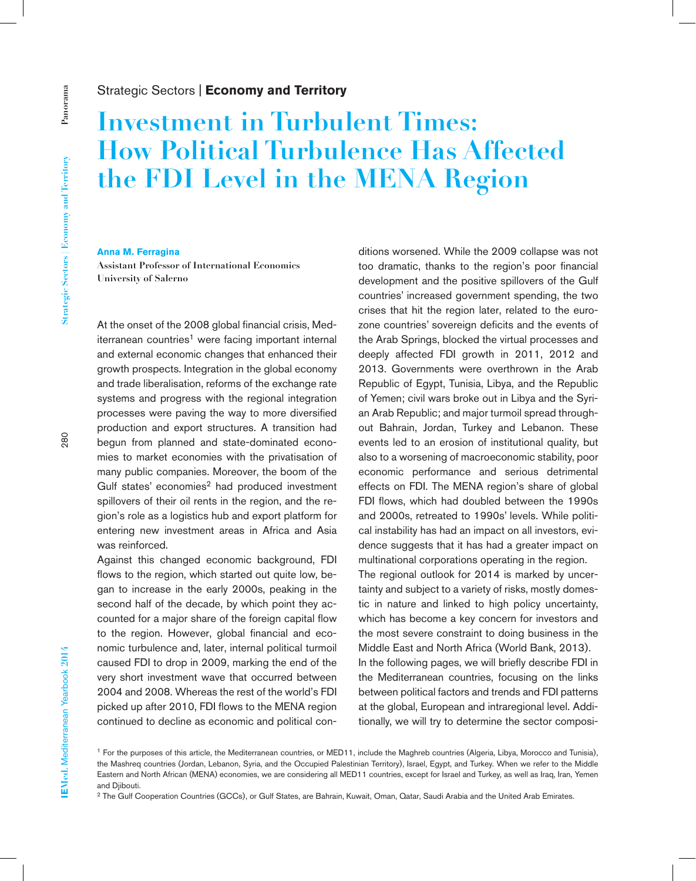## Strategic Sectors | **Economy and Territory**

# **Investment in Turbulent Times: How Political Turbulence Has Affected the FDI Level in the MENA Region**

#### **Anna M. Ferragina**

**Assistant Professor of International Economics University of Salerno**

At the onset of the 2008 global financial crisis, Mediterranean countries<sup>1</sup> were facing important internal and external economic changes that enhanced their growth prospects. Integration in the global economy and trade liberalisation, reforms of the exchange rate systems and progress with the regional integration processes were paving the way to more diversified production and export structures. A transition had begun from planned and state-dominated economies to market economies with the privatisation of many public companies. Moreover, the boom of the Gulf states' economies<sup>2</sup> had produced investment spillovers of their oil rents in the region, and the region's role as a logistics hub and export platform for entering new investment areas in Africa and Asia was reinforced.

Against this changed economic background, FDI flows to the region, which started out quite low, began to increase in the early 2000s, peaking in the second half of the decade, by which point they accounted for a major share of the foreign capital flow to the region. However, global financial and economic turbulence and, later, internal political turmoil caused FDI to drop in 2009, marking the end of the very short investment wave that occurred between 2004 and 2008. Whereas the rest of the world's FDI picked up after 2010, FDI flows to the MENA region continued to decline as economic and political con-

ditions worsened. While the 2009 collapse was not too dramatic, thanks to the region's poor financial development and the positive spillovers of the Gulf countries' increased government spending, the two crises that hit the region later, related to the eurozone countries' sovereign deficits and the events of the Arab Springs, blocked the virtual processes and deeply affected FDI growth in 2011, 2012 and 2013. Governments were overthrown in the Arab Republic of Egypt, Tunisia, Libya, and the Republic of Yemen; civil wars broke out in Libya and the Syrian Arab Republic; and major turmoil spread throughout Bahrain, Jordan, Turkey and Lebanon. These events led to an erosion of institutional quality, but also to a worsening of macroeconomic stability, poor economic performance and serious detrimental effects on FDI. The MENA region's share of global FDI flows, which had doubled between the 1990s and 2000s, retreated to 1990s' levels. While political instability has had an impact on all investors, evidence suggests that it has had a greater impact on multinational corporations operating in the region. The regional outlook for 2014 is marked by uncertainty and subject to a variety of risks, mostly domestic in nature and linked to high policy uncertainty, which has become a key concern for investors and the most severe constraint to doing business in the Middle East and North Africa (World Bank, 2013). In the following pages, we will briefly describe FDI in

the Mediterranean countries, focusing on the links between political factors and trends and FDI patterns at the global, European and intraregional level. Additionally, we will try to determine the sector composi-

<sup>1</sup> For the purposes of this article, the Mediterranean countries, or MED11, include the Maghreb countries (Algeria, Libya, Morocco and Tunisia), the Mashreq countries (Jordan, Lebanon, Syria, and the Occupied Palestinian Territory), Israel, Egypt, and Turkey. When we refer to the Middle Eastern and North African (MENA) economies, we are considering all MED11 countries, except for Israel and Turkey, as well as Iraq, Iran, Yemen and Djibouti.

<sup>&</sup>lt;sup>2</sup> The Gulf Cooperation Countries (GCCs), or Gulf States, are Bahrain, Kuwait, Oman, Qatar, Saudi Arabia and the United Arab Emirates.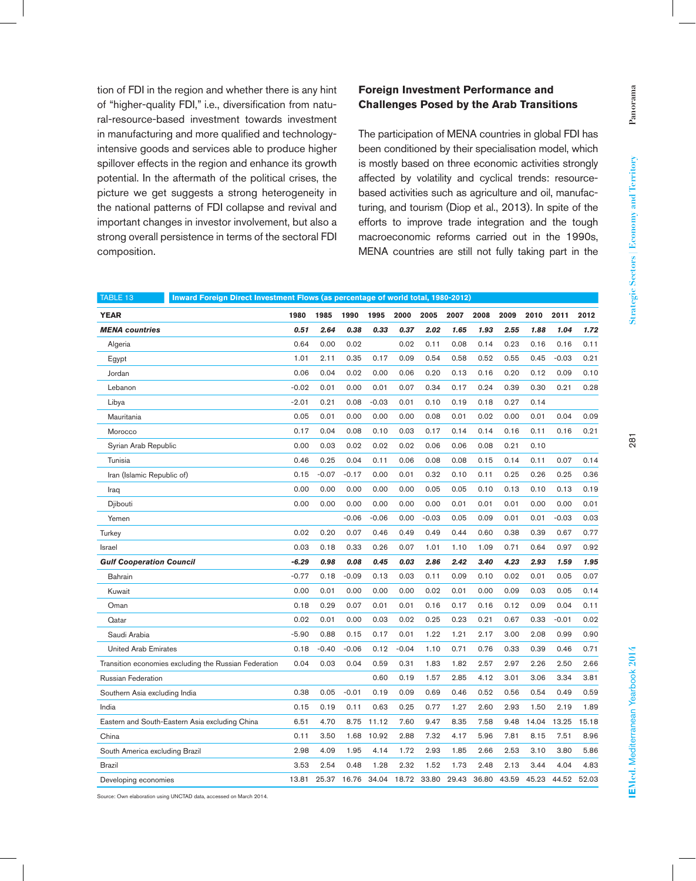tion of FDI in the region and whether there is any hint of "higher-quality FDI," i.e., diversification from natural-resource-based investment towards investment in manufacturing and more qualified and technologyintensive goods and services able to produce higher spillover effects in the region and enhance its growth potential. In the aftermath of the political crises, the picture we get suggests a strong heterogeneity in the national patterns of FDI collapse and revival and important changes in investor involvement, but also a strong overall persistence in terms of the sectoral FDI composition.

## **Foreign Investment Performance and Challenges Posed by the Arab Transitions**

The participation of MENA countries in global FDI has been conditioned by their specialisation model, which is mostly based on three economic activities strongly affected by volatility and cyclical trends: resourcebased activities such as agriculture and oil, manufacturing, and tourism (Diop et al., 2013). In spite of the efforts to improve trade integration and the tough macroeconomic reforms carried out in the 1990s, MENA countries are still not fully taking part in the

| TABLE 13<br>Inward Foreign Direct Investment Flows (as percentage of world total, 1980-2012) |  |         |         |         |         |         |         |       |       |       |       |         |       |
|----------------------------------------------------------------------------------------------|--|---------|---------|---------|---------|---------|---------|-------|-------|-------|-------|---------|-------|
| <b>YEAR</b>                                                                                  |  | 1980    | 1985    | 1990    | 1995    | 2000    | 2005    | 2007  | 2008  | 2009  | 2010  | 2011    | 2012  |
| <b>MENA</b> countries                                                                        |  | 0.51    | 2.64    | 0.38    | 0.33    | 0.37    | 2.02    | 1.65  | 1.93  | 2.55  | 1.88  | 1.04    | 1.72  |
| Algeria                                                                                      |  | 0.64    | 0.00    | 0.02    |         | 0.02    | 0.11    | 0.08  | 0.14  | 0.23  | 0.16  | 0.16    | 0.11  |
| Egypt                                                                                        |  | 1.01    | 2.11    | 0.35    | 0.17    | 0.09    | 0.54    | 0.58  | 0.52  | 0.55  | 0.45  | $-0.03$ | 0.21  |
| Jordan                                                                                       |  | 0.06    | 0.04    | 0.02    | 0.00    | 0.06    | 0.20    | 0.13  | 0.16  | 0.20  | 0.12  | 0.09    | 0.10  |
| Lebanon                                                                                      |  | $-0.02$ | 0.01    | 0.00    | 0.01    | 0.07    | 0.34    | 0.17  | 0.24  | 0.39  | 0.30  | 0.21    | 0.28  |
| Libya                                                                                        |  | $-2.01$ | 0.21    | 0.08    | $-0.03$ | 0.01    | 0.10    | 0.19  | 0.18  | 0.27  | 0.14  |         |       |
| Mauritania                                                                                   |  | 0.05    | 0.01    | 0.00    | 0.00    | 0.00    | 0.08    | 0.01  | 0.02  | 0.00  | 0.01  | 0.04    | 0.09  |
| Morocco                                                                                      |  | 0.17    | 0.04    | 0.08    | 0.10    | 0.03    | 0.17    | 0.14  | 0.14  | 0.16  | 0.11  | 0.16    | 0.21  |
| Syrian Arab Republic                                                                         |  | 0.00    | 0.03    | 0.02    | 0.02    | 0.02    | 0.06    | 0.06  | 0.08  | 0.21  | 0.10  |         |       |
| Tunisia                                                                                      |  | 0.46    | 0.25    | 0.04    | 0.11    | 0.06    | 0.08    | 0.08  | 0.15  | 0.14  | 0.11  | 0.07    | 0.14  |
| Iran (Islamic Republic of)                                                                   |  | 0.15    | $-0.07$ | $-0.17$ | 0.00    | 0.01    | 0.32    | 0.10  | 0.11  | 0.25  | 0.26  | 0.25    | 0.36  |
| Iraq                                                                                         |  | 0.00    | 0.00    | 0.00    | 0.00    | 0.00    | 0.05    | 0.05  | 0.10  | 0.13  | 0.10  | 0.13    | 0.19  |
| Djibouti                                                                                     |  | 0.00    | 0.00    | 0.00    | 0.00    | 0.00    | 0.00    | 0.01  | 0.01  | 0.01  | 0.00  | 0.00    | 0.01  |
| Yemen                                                                                        |  |         |         | $-0.06$ | $-0.06$ | 0.00    | $-0.03$ | 0.05  | 0.09  | 0.01  | 0.01  | $-0.03$ | 0.03  |
| Turkey                                                                                       |  | 0.02    | 0.20    | 0.07    | 0.46    | 0.49    | 0.49    | 0.44  | 0.60  | 0.38  | 0.39  | 0.67    | 0.77  |
| Israel                                                                                       |  | 0.03    | 0.18    | 0.33    | 0.26    | 0.07    | 1.01    | 1.10  | 1.09  | 0.71  | 0.64  | 0.97    | 0.92  |
| <b>Gulf Cooperation Council</b>                                                              |  | $-6.29$ | 0.98    | 0.08    | 0.45    | 0.03    | 2.86    | 2.42  | 3.40  | 4.23  | 2.93  | 1.59    | 1.95  |
| Bahrain                                                                                      |  | $-0.77$ | 0.18    | $-0.09$ | 0.13    | 0.03    | 0.11    | 0.09  | 0.10  | 0.02  | 0.01  | 0.05    | 0.07  |
| Kuwait                                                                                       |  | 0.00    | 0.01    | 0.00    | 0.00    | 0.00    | 0.02    | 0.01  | 0.00  | 0.09  | 0.03  | 0.05    | 0.14  |
| Oman                                                                                         |  | 0.18    | 0.29    | 0.07    | 0.01    | 0.01    | 0.16    | 0.17  | 0.16  | 0.12  | 0.09  | 0.04    | 0.11  |
| Qatar                                                                                        |  | 0.02    | 0.01    | 0.00    | 0.03    | 0.02    | 0.25    | 0.23  | 0.21  | 0.67  | 0.33  | $-0.01$ | 0.02  |
| Saudi Arabia                                                                                 |  | $-5.90$ | 0.88    | 0.15    | 0.17    | 0.01    | 1.22    | 1.21  | 2.17  | 3.00  | 2.08  | 0.99    | 0.90  |
| <b>United Arab Emirates</b>                                                                  |  | 0.18    | $-0.40$ | $-0.06$ | 0.12    | $-0.04$ | 1.10    | 0.71  | 0.76  | 0.33  | 0.39  | 0.46    | 0.71  |
| Transition economies excluding the Russian Federation                                        |  | 0.04    | 0.03    | 0.04    | 0.59    | 0.31    | 1.83    | 1.82  | 2.57  | 2.97  | 2.26  | 2.50    | 2.66  |
| <b>Russian Federation</b>                                                                    |  |         |         |         | 0.60    | 0.19    | 1.57    | 2.85  | 4.12  | 3.01  | 3.06  | 3.34    | 3.81  |
| Southern Asia excluding India                                                                |  | 0.38    | 0.05    | $-0.01$ | 0.19    | 0.09    | 0.69    | 0.46  | 0.52  | 0.56  | 0.54  | 0.49    | 0.59  |
| India                                                                                        |  | 0.15    | 0.19    | 0.11    | 0.63    | 0.25    | 0.77    | 1.27  | 2.60  | 2.93  | 1.50  | 2.19    | 1.89  |
| Eastern and South-Eastern Asia excluding China                                               |  | 6.51    | 4.70    | 8.75    | 11.12   | 7.60    | 9.47    | 8.35  | 7.58  | 9.48  | 14.04 | 13.25   | 15.18 |
| China                                                                                        |  | 0.11    | 3.50    | 1.68    | 10.92   | 2.88    | 7.32    | 4.17  | 5.96  | 7.81  | 8.15  | 7.51    | 8.96  |
| South America excluding Brazil                                                               |  | 2.98    | 4.09    | 1.95    | 4.14    | 1.72    | 2.93    | 1.85  | 2.66  | 2.53  | 3.10  | 3.80    | 5.86  |
| <b>Brazil</b>                                                                                |  | 3.53    | 2.54    | 0.48    | 1.28    | 2.32    | 1.52    | 1.73  | 2.48  | 2.13  | 3.44  | 4.04    | 4.83  |
| Developing economies                                                                         |  | 13.81   | 25.37   | 16.76   | 34.04   | 18.72   | 33.80   | 29.43 | 36.80 | 43.59 | 45.23 | 44.52   | 52.03 |

Source: Own elaboration using UNCTAD data, accessed on March 2014.

 $281$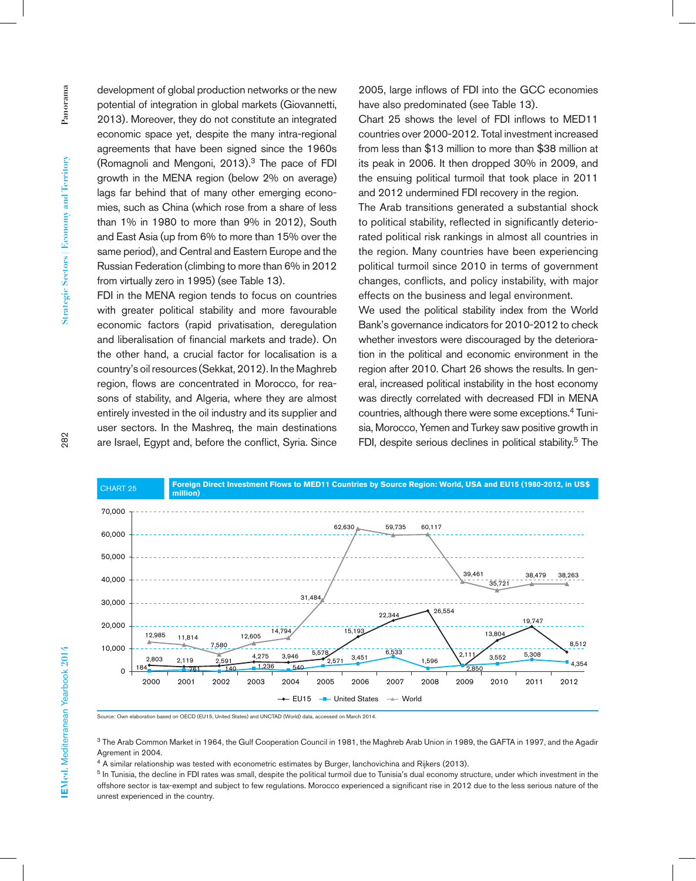development of global production networks or the new potential of integration in global markets (Giovannetti, 2013). Moreover, they do not constitute an integrated economic space yet, despite the many intra-regional agreements that have been signed since the 1960s (Romagnoli and Mengoni,  $2013$ ).<sup>3</sup> The pace of FDI growth in the MENA region (below 2% on average) lags far behind that of many other emerging economies, such as China (which rose from a share of less than 1% in 1980 to more than 9% in 2012), South and East Asia (up from 6% to more than 15% over the same period), and Central and Eastern Europe and the Russian Federation (climbing to more than 6% in 2012 from virtually zero in 1995) (see Table 13).

FDI in the MENA region tends to focus on countries with greater political stability and more favourable economic factors (rapid privatisation, deregulation and liberalisation of financial markets and trade). On the other hand, a crucial factor for localisation is a country's oil resources (Sekkat, 2012). In the Maghreb region, flows are concentrated in Morocco, for reasons of stability, and Algeria, where they are almost entirely invested in the oil industry and its supplier and user sectors. In the Mashreq, the main destinations are Israel, Egypt and, before the conflict, Syria. Since

2005, large inflows of FDI into the GCC economies have also predominated (see Table 13).

Chart 25 shows the level of FDI inflows to MED11 countries over 2000-2012. Total investment increased from less than \$13 million to more than \$38 million at its peak in 2006. It then dropped 30% in 2009, and the ensuing political turmoil that took place in 2011 and 2012 undermined FDI recovery in the region.

The Arab transitions generated a substantial shock to political stability, reflected in significantly deteriorated political risk rankings in almost all countries in the region. Many countries have been experiencing political turmoil since 2010 in terms of government changes, conflicts, and policy instability, with major effects on the business and legal environment.

We used the political stability index from the World Bank's governance indicators for 2010-2012 to check whether investors were discouraged by the deterioration in the political and economic environment in the region after 2010. Chart 26 shows the results. In general, increased political instability in the host economy was directly correlated with decreased FDI in MENA countries, although there were some exceptions.4 Tunisia, Morocco, Yemen and Turkey saw positive growth in FDI, despite serious declines in political stability.<sup>5</sup> The



rce: Own elaboration based on OECD (EU15, United States) and UNCTAD (World) data, accessed on March 2014

3 The Arab Common Market in 1964, the Gulf Cooperation Council in 1981, the Maghreb Arab Union in 1989, the GAFTA in 1997, and the Agadir Agrement in 2004.

<sup>4</sup> A similar relationship was tested with econometric estimates by Burger, lanchovichina and Rijkers (2013).

<sup>5</sup> In Tunisia, the decline in FDI rates was small, despite the political turmoil due to Tunisia's dual economy structure, under which investment in the offshore sector is tax-exempt and subject to few regulations. Morocco experienced a significant rise in 2012 due to the less serious nature of the unrest experienced in the country.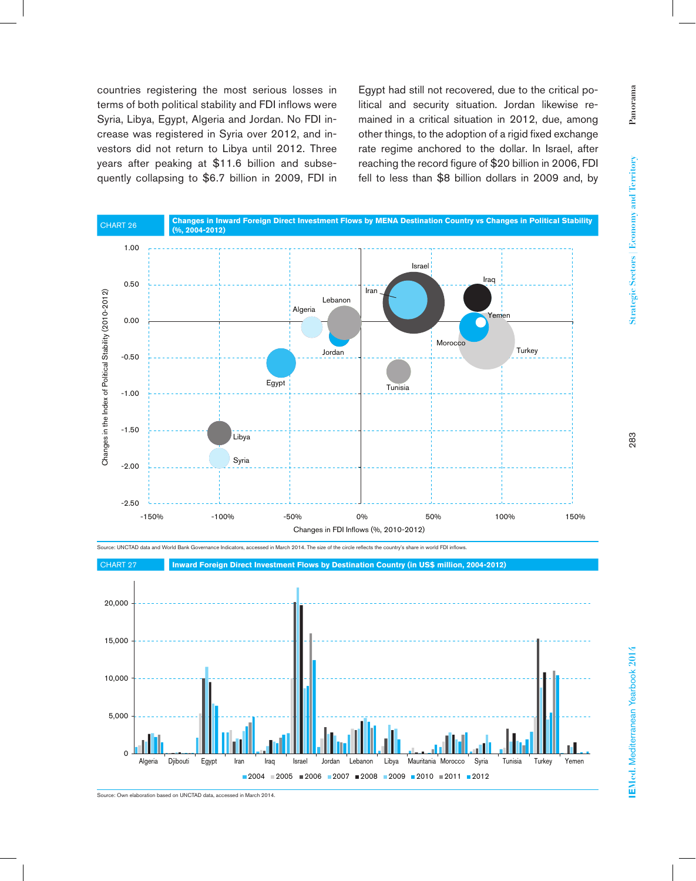Panorama **Panorama** Strategic Sectors | Economy and Territory **Strategic Sectors | Economy and Territory**

countries registering the most serious losses in terms of both political stability and FDI inflows were Syria, Libya, Egypt, Algeria and Jordan. No FDI increase was registered in Syria over 2012, and investors did not return to Libya until 2012. Three years after peaking at \$11.6 billion and subsequently collapsing to \$6.7 billion in 2009, FDI in

Egypt had still not recovered, due to the critical political and security situation. Jordan likewise remained in a critical situation in 2012, due, among other things, to the adoption of a rigid fixed exchange rate regime anchored to the dollar. In Israel, after reaching the record figure of \$20 billion in 2006, FDI fell to less than \$8 billion dollars in 2009 and, by



283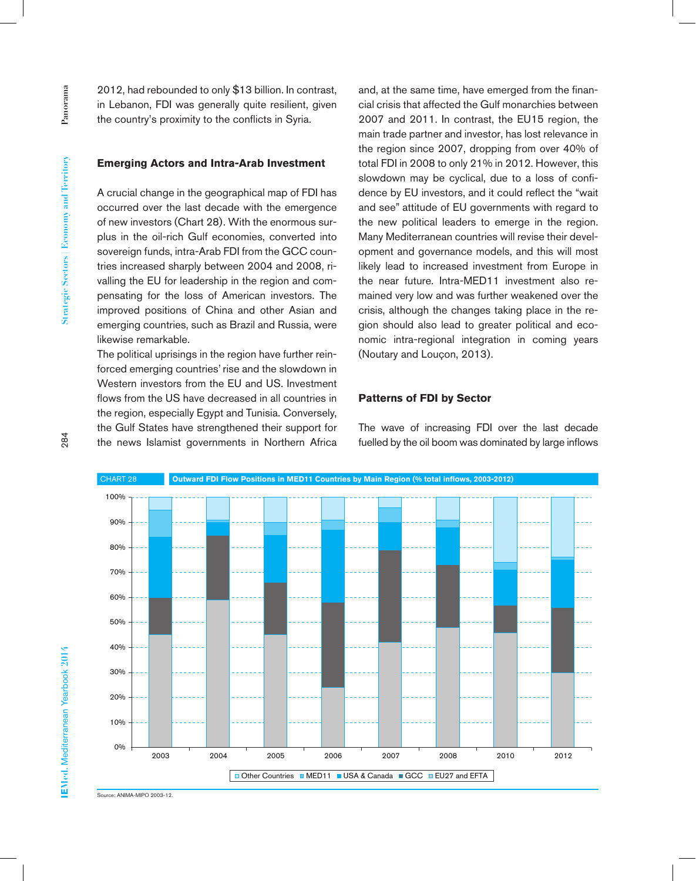2012, had rebounded to only \$13 billion. In contrast, in Lebanon, FDI was generally quite resilient, given the country's proximity to the conflicts in Syria.

#### **Emerging Actors and Intra-Arab Investment**

A crucial change in the geographical map of FDI has occurred over the last decade with the emergence of new investors (Chart 28). With the enormous surplus in the oil-rich Gulf economies, converted into sovereign funds, intra-Arab FDI from the GCC countries increased sharply between 2004 and 2008, rivalling the EU for leadership in the region and compensating for the loss of American investors. The improved positions of China and other Asian and emerging countries, such as Brazil and Russia, were likewise remarkable.

The political uprisings in the region have further reinforced emerging countries' rise and the slowdown in Western investors from the EU and US. Investment flows from the US have decreased in all countries in the region, especially Egypt and Tunisia. Conversely, the Gulf States have strengthened their support for the news Islamist governments in Northern Africa

and, at the same time, have emerged from the financial crisis that affected the Gulf monarchies between 2007 and 2011. In contrast, the EU15 region, the main trade partner and investor, has lost relevance in the region since 2007, dropping from over 40% of total FDI in 2008 to only 21% in 2012. However, this slowdown may be cyclical, due to a loss of confidence by EU investors, and it could reflect the "wait and see" attitude of EU governments with regard to the new political leaders to emerge in the region. Many Mediterranean countries will revise their development and governance models, and this will most likely lead to increased investment from Europe in the near future. Intra-MED11 investment also remained very low and was further weakened over the crisis, although the changes taking place in the region should also lead to greater political and economic intra-regional integration in coming years (Noutary and Louçon, 2013).

#### **Patterns of FDI by Sector**

The wave of increasing FDI over the last decade fuelled by the oil boom was dominated by large inflows



Source: ANIMA-MIPO 2003-12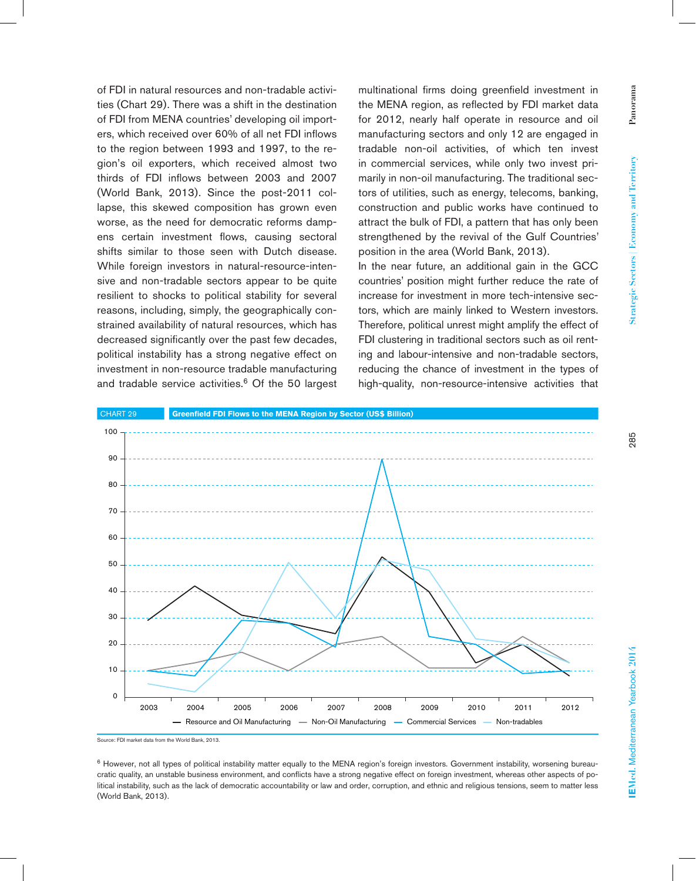of FDI in natural resources and non-tradable activities (Chart 29). There was a shift in the destination of FDI from MENA countries' developing oil importers, which received over 60% of all net FDI inflows to the region between 1993 and 1997, to the region's oil exporters, which received almost two thirds of FDI inflows between 2003 and 2007 (World Bank, 2013). Since the post-2011 collapse, this skewed composition has grown even worse, as the need for democratic reforms dampens certain investment flows, causing sectoral shifts similar to those seen with Dutch disease. While foreign investors in natural-resource-intensive and non-tradable sectors appear to be quite resilient to shocks to political stability for several reasons, including, simply, the geographically constrained availability of natural resources, which has decreased significantly over the past few decades, political instability has a strong negative effect on investment in non-resource tradable manufacturing and tradable service activities. $6$  Of the 50 largest

multinational firms doing greenfield investment in the MENA region, as reflected by FDI market data for 2012, nearly half operate in resource and oil manufacturing sectors and only 12 are engaged in tradable non-oil activities, of which ten invest in commercial services, while only two invest primarily in non-oil manufacturing. The traditional sectors of utilities, such as energy, telecoms, banking, construction and public works have continued to attract the bulk of FDI, a pattern that has only been strengthened by the revival of the Gulf Countries' position in the area (World Bank, 2013).

In the near future, an additional gain in the GCC countries' position might further reduce the rate of increase for investment in more tech-intensive sectors, which are mainly linked to Western investors. Therefore, political unrest might amplify the effect of FDI clustering in traditional sectors such as oil renting and labour-intensive and non-tradable sectors, reducing the chance of investment in the types of high-quality, non-resource-intensive activities that



Source: FDI market data from the World Bank, 2013.

<sup>6</sup> However, not all types of political instability matter equally to the MENA region's foreign investors. Government instability, worsening bureaucratic quality, an unstable business environment, and conflicts have a strong negative effect on foreign investment, whereas other aspects of political instability, such as the lack of democratic accountability or law and order, corruption, and ethnic and religious tensions, seem to matter less (World Bank, 2013).